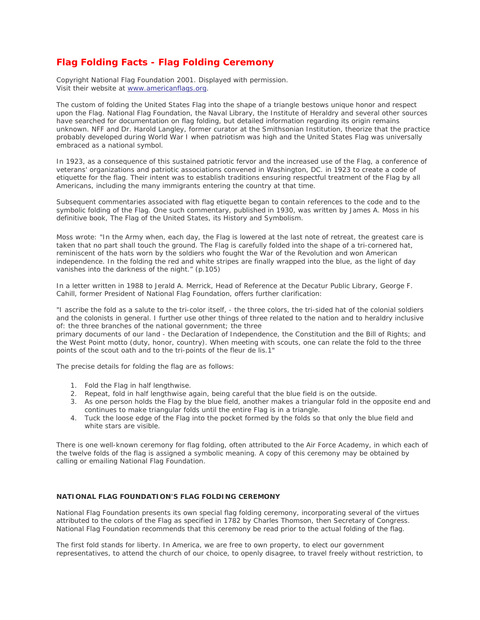## **Flag Folding Facts - Flag Folding Ceremony**

Copyright National Flag Foundation 2001. Displayed with permission. Visit their website at [www.americanflags.org.](http://www.americanflags.org/)

The custom of folding the United States Flag into the shape of a triangle bestows unique honor and respect upon the Flag. National Flag Foundation, the Naval Library, the Institute of Heraldry and several other sources have searched for documentation on flag folding, but detailed information regarding its origin remains unknown. NFF and Dr. Harold Langley, former curator at the Smithsonian Institution, theorize that the practice probably developed during World War I when patriotism was high and the United States Flag was universally embraced as a national symbol.

In 1923, as a consequence of this sustained patriotic fervor and the increased use of the Flag, a conference of veterans' organizations and patriotic associations convened in Washington, DC. in 1923 to create a code of etiquette for the flag. Their intent was to establish traditions ensuring respectful treatment of the Flag by all Americans, including the many immigrants entering the country at that time.

Subsequent commentaries associated with flag etiquette began to contain references to the code and to the symbolic folding of the Flag. One such commentary, published in 1930, was written by James A. Moss in his definitive book, The Flag of the United States, its History and Symbolism.

Moss wrote: "In the Army when, each day, the Flag is lowered at the last note of retreat, the greatest care is taken that no part shall touch the ground. The Flag is carefully folded into the shape of a tri-cornered hat, reminiscent of the hats worn by the soldiers who fought the War of the Revolution and won American independence. In the folding the red and white stripes are finally wrapped into the blue, as the light of day vanishes into the darkness of the night." (p.105)

In a letter written in 1988 to Jerald A. Merrick, Head of Reference at the Decatur Public Library, George F. Cahill, former President of National Flag Foundation, offers further clarification:

"I ascribe the fold as a salute to the tri-color itself, - the three colors, the tri-sided hat of the colonial soldiers and the colonists in general. I further use other things of three related to the nation and to heraldry inclusive of: the three branches of the national government; the three

primary documents of our land - the Declaration of Independence, the Constitution and the Bill of Rights; and the West Point motto (duty, honor, country). When meeting with scouts, one can relate the fold to the three points of the scout oath and to the tri-points of the fleur de lis.1"

The precise details for folding the flag are as follows:

- 1. Fold the Flag in half lengthwise.
- 2. Repeat, fold in half lengthwise again, being careful that the blue field is on the outside.
- 3. As one person holds the Flag by the blue field, another makes a triangular fold in the opposite end and continues to make triangular folds until the entire Flag is in a triangle.
- 4. Tuck the loose edge of the Flag into the pocket formed by the folds so that only the blue field and white stars are visible.

There is one well-known ceremony for flag folding, often attributed to the Air Force Academy, in which each of the twelve folds of the flag is assigned a symbolic meaning. A copy of this ceremony may be obtained by calling or emailing National Flag Foundation.

## **NATIONAL FLAG FOUNDATION'S FLAG FOLDING CEREMONY**

National Flag Foundation presents its own special flag folding ceremony, incorporating several of the virtues attributed to the colors of the Flag as specified in 1782 by Charles Thomson, then Secretary of Congress. National Flag Foundation recommends that this ceremony be read prior to the actual folding of the flag.

The first fold stands for liberty. In America, we are free to own property, to elect our government representatives, to attend the church of our choice, to openly disagree, to travel freely without restriction, to